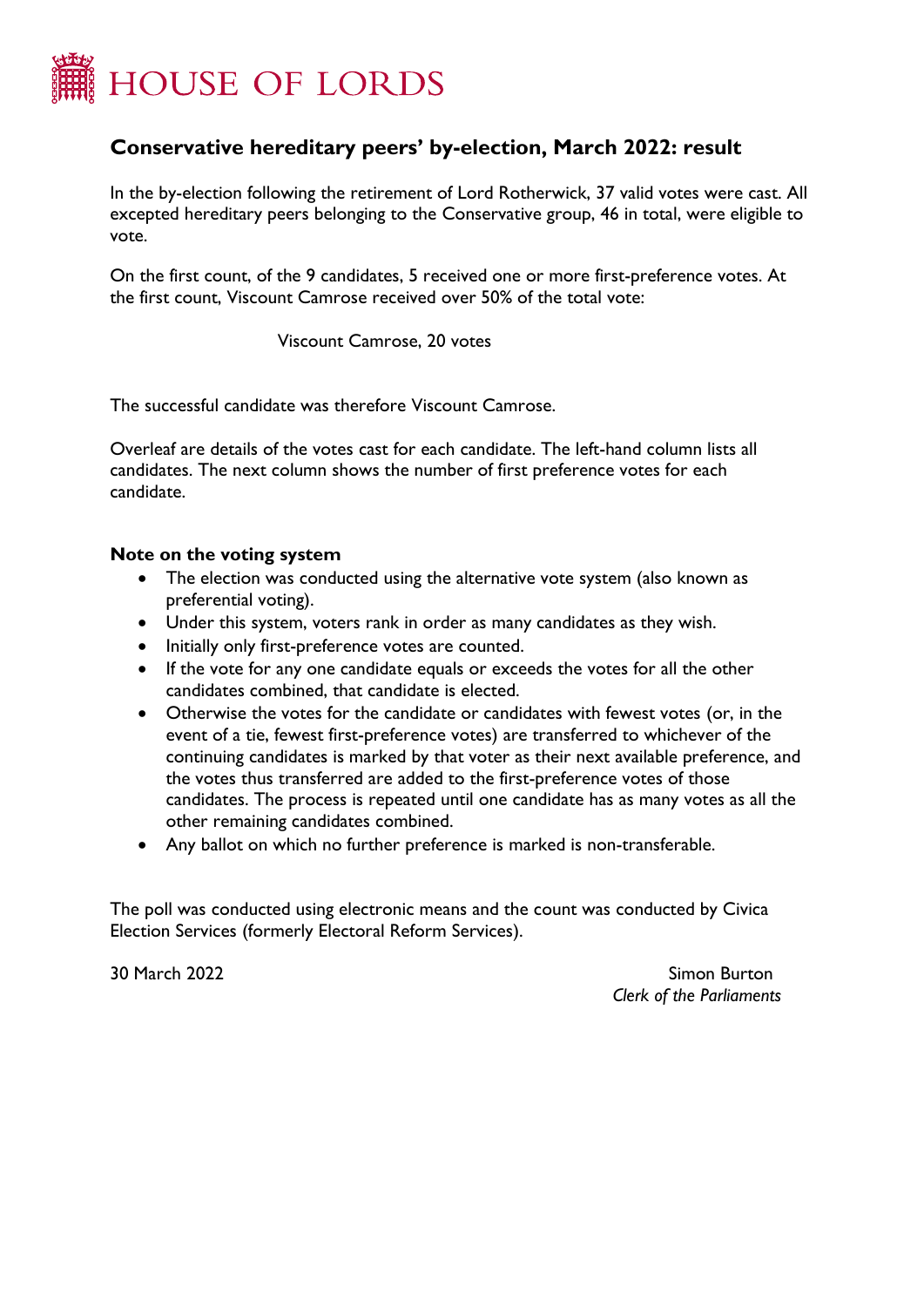

## **Conservative hereditary peers' by-election, March 2022: result**

In the by-election following the retirement of Lord Rotherwick, 37 valid votes were cast. All excepted hereditary peers belonging to the Conservative group, 46 in total, were eligible to vote.

On the first count, of the 9 candidates, 5 received one or more first-preference votes. At the first count, Viscount Camrose received over 50% of the total vote:

## Viscount Camrose, 20 votes

The successful candidate was therefore Viscount Camrose.

Overleaf are details of the votes cast for each candidate. The left-hand column lists all candidates. The next column shows the number of first preference votes for each candidate.

## **Note on the voting system**

- The election was conducted using the alternative vote system (also known as preferential voting).
- Under this system, voters rank in order as many candidates as they wish.
- Initially only first-preference votes are counted.
- If the vote for any one candidate equals or exceeds the votes for all the other candidates combined, that candidate is elected.
- Otherwise the votes for the candidate or candidates with fewest votes (or, in the event of a tie, fewest first-preference votes) are transferred to whichever of the continuing candidates is marked by that voter as their next available preference, and the votes thus transferred are added to the first-preference votes of those candidates. The process is repeated until one candidate has as many votes as all the other remaining candidates combined.
- Any ballot on which no further preference is marked is non-transferable.

The poll was conducted using electronic means and the count was conducted by Civica Election Services (formerly Electoral Reform Services).

30 March 2022 Simon Burton *Clerk of the Parliaments*